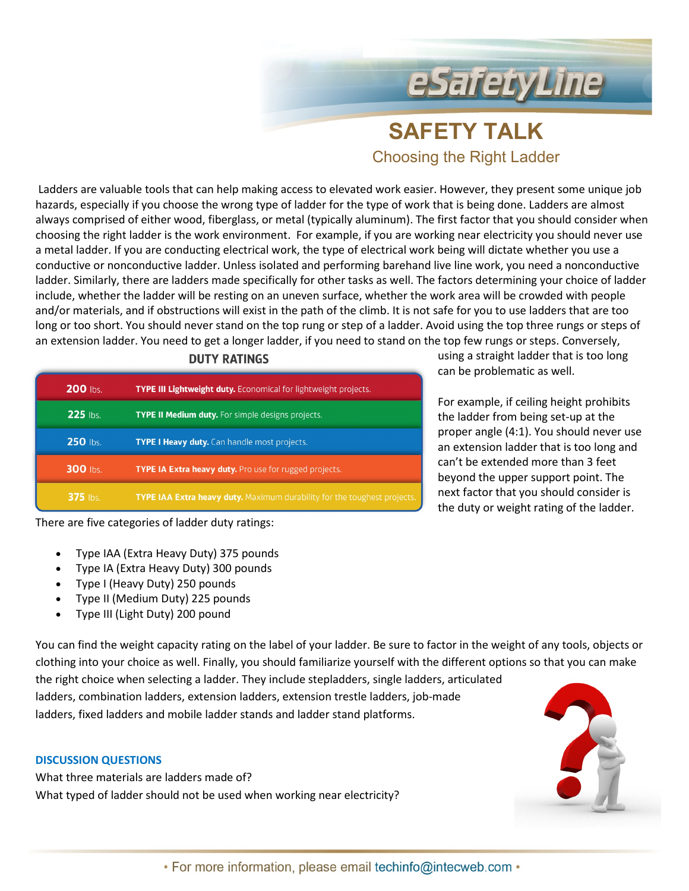## eSafetyLine

### **SAFETY TALK** Choosing the Right Ladder

always comprised of either wood, fibergiass, or metal (typically aluminum). The first factor that you should consider wher<br>choosing the right ladder is the work environment. For example, if you are working near electricity Ladders are valuable tools that can help making access to elevated work easier. However, they present some unique job hazards, especially if you choose the wrong type of ladder for the type of work that is being done. Ladders are almost always comprised of either wood, fiberglass, or metal (typically aluminum). The first factor that you should consider when a metal ladder. If you are conducting electrical work, the type of electrical work being will dictate whether you use a conductive or nonconductive ladder. Unless isolated and performing barehand live line work, you need a nonconductive ladder. Similarly, there are ladders made specifically for other tasks as well. The factors determining your choice of ladder include, whether the ladder will be resting on an uneven surface, whether the work area will be crowded with people and/or materials, and if obstructions will exist in the path of the climb. It is not safe for you to use ladders that are too long or too short. You should never stand on the top rung or step of a ladder. Avoid using the top three rungs or steps of an extension ladder. You need to get a longer ladder, if you need to stand on the top few rungs or steps. Conversely,

| 200 lbs.   | <b>TYPE III Lightweight duty.</b> Economical for lightweight projects.          |
|------------|---------------------------------------------------------------------------------|
| $225$ lbs. | TYPE II Medium duty. For simple designs projects.                               |
| 250 lbs.   | <b>TYPE I Heavy duty.</b> Can handle most projects.                             |
| 300 lbs.   | <b>TYPE IA Extra heavy duty.</b> Pro use for rugged projects.                   |
| 375 lbs.   | <b>TYPE IAA Extra heavy duty.</b> Maximum durability for the toughest projects. |

**DUTY RATINGS** 

using a straight ladder that is too long can be problematic as well.

For example, if ceiling height prohibits the ladder from being set-up at the proper angle (4:1). You should never use an extension ladder that is too long and can't be extended more than 3 feet beyond the upper support point. The next factor that you should consider is the duty or weight rating of the ladder.

There are five categories of ladder duty ratings:

- Type IAA (Extra Heavy Duty) 375 pounds
- Type IA (Extra Heavy Duty) 300 pounds
- Type I (Heavy Duty) 250 pounds
- Type II (Medium Duty) 225 pounds
- Type III (Light Duty) 200 pound

You can find the weight capacity rating on the label of your ladder. Be sure to factor in the weight of any tools, objects or clothing into your choice as well. Finally, you should familiarize yourself with the different options so that you can make the right choice when selecting a ladder. They include stepladders, single ladders, articulated ladders, combination ladders, extension ladders, extension trestle ladders, job-made ladders, fixed ladders and mobile ladder stands and ladder stand platforms.

#### **DISCUSSION QUESTIONS**

What three materials are ladders made of? What typed of ladder should not be used when working near electricity?